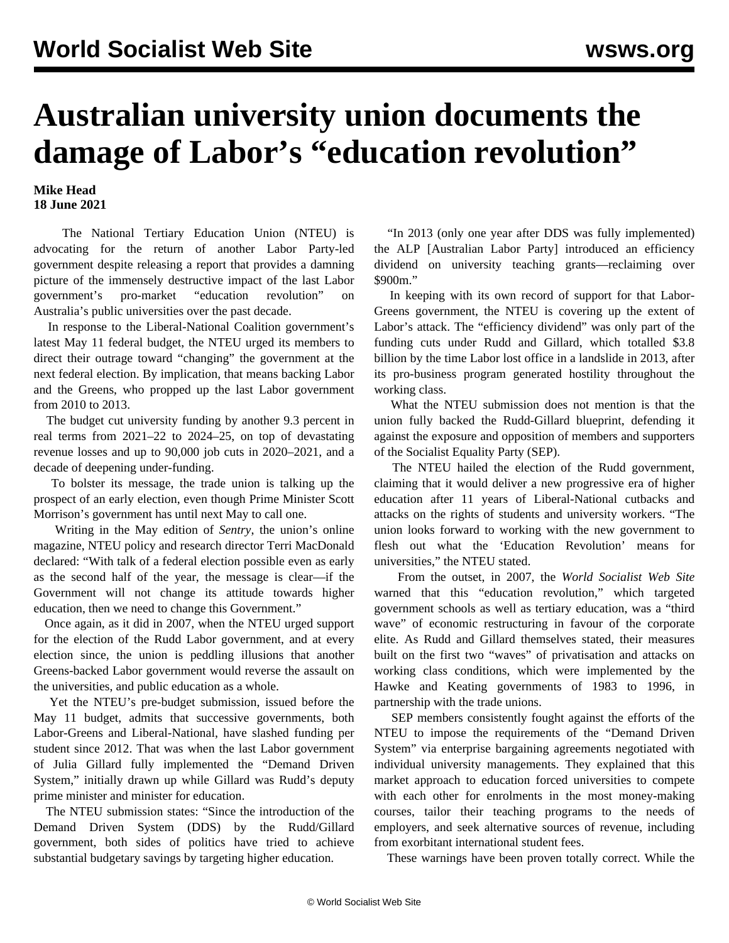## **Australian university union documents the damage of Labor's "education revolution"**

## **Mike Head 18 June 2021**

 The National Tertiary Education Union (NTEU) is advocating for the return of another Labor Party-led government despite releasing a report that provides a damning picture of the immensely destructive impact of the last Labor government's pro-market "education revolution" on Australia's public universities over the past decade.

 In response to the Liberal-National Coalition government's latest May 11 federal budget, the NTEU urged its members to direct their outrage toward "changing" the government at the next federal election. By implication, that means backing Labor and the Greens, who propped up the last Labor government from 2010 to 2013.

 The budget cut university funding by another 9.3 percent in real terms from 2021–22 to 2024–25, on top of devastating revenue losses and up to 90,000 job cuts in 2020–2021, and a decade of deepening under-funding.

 To bolster its message, the trade union is talking up the prospect of an early election, even though Prime Minister Scott Morrison's government has until next May to call one.

 Writing in the May edition of *Sentry*, the union's online magazine, NTEU policy and research director Terri MacDonald declared: "With talk of a federal election possible even as early as the second half of the year, the message is clear—if the Government will not change its attitude towards higher education, then we need to change this Government."

 Once again, as it did in 2007, when the NTEU urged support for the election of the Rudd Labor government, and at every election since, the union is peddling illusions that another Greens-backed Labor government would reverse the assault on the universities, and public education as a whole.

 Yet the NTEU's pre-budget submission, issued before the May 11 budget, admits that successive governments, both Labor-Greens and Liberal-National, have slashed funding per student since 2012. That was when the last Labor government of Julia Gillard fully implemented the "Demand Driven System," initially drawn up while Gillard was Rudd's deputy prime minister and minister for education.

 The NTEU submission states: "Since the introduction of the Demand Driven System (DDS) by the Rudd/Gillard government, both sides of politics have tried to achieve substantial budgetary savings by targeting higher education.

 "In 2013 (only one year after DDS was fully implemented) the ALP [Australian Labor Party] introduced an efficiency dividend on university teaching grants—reclaiming over \$900m."

 In keeping with its own record of support for that Labor-Greens government, the NTEU is covering up the extent of Labor's attack. The "efficiency dividend" was only part of the funding cuts under Rudd and Gillard, which totalled \$3.8 billion by the time Labor lost office in a landslide in 2013, after its pro-business program generated hostility throughout the working class.

 What the NTEU submission does not mention is that the union fully backed the Rudd-Gillard blueprint, defending it against the exposure and opposition of members and supporters of the Socialist Equality Party (SEP).

 The NTEU hailed the election of the Rudd government, claiming that it would deliver a new progressive era of higher education after 11 years of Liberal-National cutbacks and attacks on the rights of students and university workers. "The union looks forward to working with the new government to flesh out what the 'Education Revolution' means for universities," the NTEU stated.

 From the outset, in 2007, the *World Socialist Web Site* [warned](/en/articles/2007/12/educ-d14.html) that this "education revolution," which targeted government schools as well as tertiary education, was a "third wave" of economic restructuring in favour of the corporate elite. As Rudd and Gillard themselves stated, their measures built on the first two "waves" of privatisation and attacks on working class conditions, which were implemented by the Hawke and Keating governments of 1983 to 1996, in partnership with the trade unions.

 SEP members consistently fought against the efforts of the NTEU to impose the requirements of the "Demand Driven System" via enterprise bargaining agreements negotiated with individual university managements. They [explained](/en/articles/2010/11/macq-n17.html) that this market approach to education forced universities to compete with each other for enrolments in the most money-making courses, tailor their teaching programs to the needs of employers, and seek alternative sources of revenue, including from exorbitant international student fees.

These warnings have been proven totally correct. While the